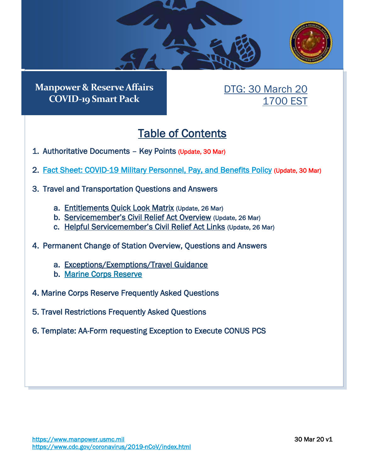

**Manpower & Reserve Affairs COVID-19 Smart Pack**

# DTG: 30 March 20 1700 EST

# Table of Contents

- <span id="page-0-0"></span>1. [Authoritative Documents](#page-1-0) – Key Points (Update, 30 Mar)
- 2. [Fact Sheet: COVID-19 Military Personnel, Pay, and Benefits Policy](#page-5-0) (Update, 30 Mar)
- 3. [Travel and Transportation Questions and Answers](#page-12-0) 
	- a. [Entitlements Quick Look Matrix](#page-16-0) (Update, 26 Mar)
	- b. [Servicemember's Civil Relief Act](#page-18-0) Overview (Update, 26 Mar)
	- c. [Helpful Servicemember's](#page-20-0) Civil Relief Act Links (Update, 26 Mar)
- 4. [Permanent Change of Station Overview, Questions and Answers](#page-21-0) 
	- a. [Exceptions/Exemptions/Travel Guidance](#page-21-1)
	- b. [Marine Corps Reserve](#page-23-0)
- 4. [Marine Corps Reserve Frequently Asked Questions](#page-23-0)
- 5. [Travel Restrictions Frequently Asked Questions](#page-23-1)
- 6. [Template: AA-Form requesting Exception to Execute CONUS PCS](#page-27-0)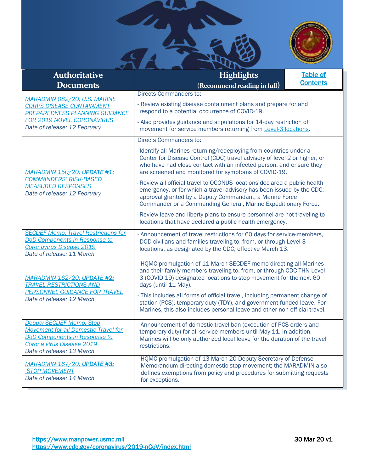

<span id="page-1-0"></span>

| <b>Authoritative</b><br><b>Documents</b>                                                                                                                                         | <b>Highlights</b><br>(Recommend reading in full)                                                                                                                                                                                                                                | <b>Table of</b><br><b>Contents</b> |  |
|----------------------------------------------------------------------------------------------------------------------------------------------------------------------------------|---------------------------------------------------------------------------------------------------------------------------------------------------------------------------------------------------------------------------------------------------------------------------------|------------------------------------|--|
|                                                                                                                                                                                  | <b>Directs Commanders to:</b>                                                                                                                                                                                                                                                   |                                    |  |
| MARADMIN 082/20, U.S. MARINE<br><b>CORPS DISEASE CONTAINMENT</b><br><b>PREPAREDNESS PLANNING GUIDANCE</b>                                                                        | - Review existing disease containment plans and prepare for and<br>respond to a potential occurrence of COVID-19.                                                                                                                                                               |                                    |  |
| FOR 2019 NOVEL CORONAVIRUS<br>Date of release: 12 February                                                                                                                       | - Also provides guidance and stipulations for 14-day restriction of<br>movement for service members returning from Level-3 locations.                                                                                                                                           |                                    |  |
|                                                                                                                                                                                  | <b>Directs Commanders to:</b>                                                                                                                                                                                                                                                   |                                    |  |
| MARADMIN 150/20, UPDATE #1:                                                                                                                                                      | - Identify all Marines returning/redeploying from countries under a<br>Center for Disease Control (CDC) travel advisory of level 2 or higher, or<br>who have had close contact with an infected person, and ensure they<br>are screened and monitored for symptoms of COVID-19. |                                    |  |
| <b>COMMANDERS' RISK-BASED</b><br><b>MEASURED RESPONSES</b><br>Date of release: 12 February                                                                                       | - Review all official travel to OCONUS locations declared a public health<br>emergency, or for which a travel advisory has been issued by the CDC;<br>approval granted by a Deputy Commandant, a Marine Force<br>Commander or a Commanding General, Marine Expeditionary Force. |                                    |  |
|                                                                                                                                                                                  | - Review leave and liberty plans to ensure personnel are not traveling to<br>locations that have declared a public health emergency.                                                                                                                                            |                                    |  |
| <b>SECDEF Memo, Travel Restrictions for</b><br>DoD Components in Response to<br>Coronavirus Disease 2019<br>Date of release: 11 March                                            | - Announcement of travel restrictions for 60 days for service-members,<br>DOD civilians and families traveling to, from, or through Level 3<br>locations, as designated by the CDC, effective March 13.                                                                         |                                    |  |
| <b>MARADMIN 162/20, UPDATE #2:</b><br><b>TRAVEL RESTRICTIONS AND</b>                                                                                                             | - HQMC promulgation of 11 March SECDEF memo directing all Marines<br>and their family members traveling to, from, or through CDC THN Level<br>3 (COVID 19) designated locations to stop movement for the next 60<br>days (until 11 May).                                        |                                    |  |
| PERSONNEL GUIDANCE FOR TRAVEL<br>Date of release: 12 March                                                                                                                       | - This includes all forms of official travel, including permanent change of<br>station (PCS), temporary duty (TDY), and government-funded leave. For<br>Marines, this also includes personal leave and other non-official travel.                                               |                                    |  |
| <b>Deputy SECDEF Memo, Stop</b><br><b>Movement for all Domestic Travel for</b><br><b>DoD Components in Response to</b><br>Corona virus Disease 2019<br>Date of release: 13 March | - Announcement of domestic travel ban (execution of PCS orders and<br>temporary duty) for all service-members until May 11. In addition,<br>Marines will be only authorized local leave for the duration of the travel<br>restrictions.                                         |                                    |  |
| <b>MARADMIN 167/20, UPDATE #3:</b><br><b>STOP MOVEMENT</b><br>Date of release: 14 March                                                                                          | - HQMC promulgation of 13 March 20 Deputy Secretary of Defense<br>Memorandum directing domestic stop movement; the MARADMIN also<br>defines exemptions from policy and procedures for submitting requests<br>for exceptions.                                                    |                                    |  |

CHANGE OF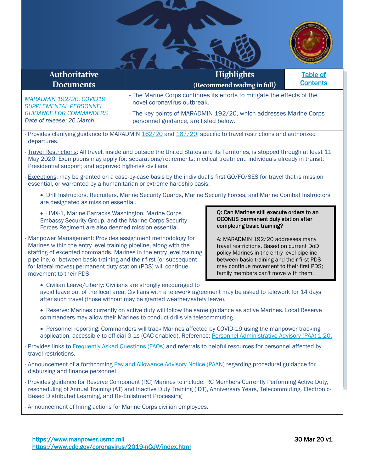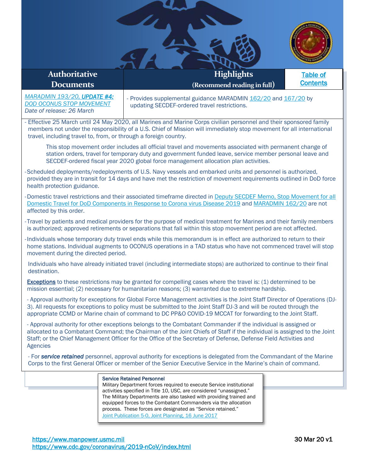| <b>Authoritative</b>                                                                                                                                                                                                                                                                                                                                        | <b>Highlights</b>                                                                                                                                                                                                                                                                                                                                                                                                                               | <b>Table of</b> |  |  |  |
|-------------------------------------------------------------------------------------------------------------------------------------------------------------------------------------------------------------------------------------------------------------------------------------------------------------------------------------------------------------|-------------------------------------------------------------------------------------------------------------------------------------------------------------------------------------------------------------------------------------------------------------------------------------------------------------------------------------------------------------------------------------------------------------------------------------------------|-----------------|--|--|--|
| <b>Documents</b>                                                                                                                                                                                                                                                                                                                                            | (Recommend reading in full)                                                                                                                                                                                                                                                                                                                                                                                                                     | <b>Contents</b> |  |  |  |
| MARADMIN 193/20, UPDATE #4:<br><b>DOD OCONUS STOP MOVEMENT</b><br>Date of release: 26 March                                                                                                                                                                                                                                                                 | - Provides supplemental guidance MARADMIN 162/20 and 167/20 by<br>updating SECDEF-ordered travel restrictions.                                                                                                                                                                                                                                                                                                                                  |                 |  |  |  |
|                                                                                                                                                                                                                                                                                                                                                             | - Effective 25 March until 24 May 2020, all Marines and Marine Corps civilian personnel and their sponsored family<br>members not under the responsibility of a U.S. Chief of Mission will immediately stop movement for all international<br>travel, including travel to, from, or through a foreign country.                                                                                                                                  |                 |  |  |  |
|                                                                                                                                                                                                                                                                                                                                                             | This stop movement order includes all official travel and movements associated with permanent change of<br>station orders, travel for temporary duty and government funded leave, service member personal leave and<br>SECDEF-ordered fiscal year 2020 global force management allocation plan activities.                                                                                                                                      |                 |  |  |  |
| -Scheduled deployments/redeployments of U.S. Navy vessels and embarked units and personnel is authorized,<br>provided they are in transit for 14 days and have met the restriction of movement requirements outlined in DoD force<br>health protection guidance.                                                                                            |                                                                                                                                                                                                                                                                                                                                                                                                                                                 |                 |  |  |  |
| -Domestic travel restrictions and their associated timeframe directed in Deputy SECDEF Memo. Stop Movement for all<br>Domestic Travel for DoD Components in Response to Corona virus Disease 2019 and MARADMIN 162/20 are not                                                                                                                               |                                                                                                                                                                                                                                                                                                                                                                                                                                                 |                 |  |  |  |
| affected by this order.                                                                                                                                                                                                                                                                                                                                     |                                                                                                                                                                                                                                                                                                                                                                                                                                                 |                 |  |  |  |
| -Travel by patients and medical providers for the purpose of medical treatment for Marines and their family members<br>is authorized; approved retirements or separations that fall within this stop movement period are not affected.                                                                                                                      |                                                                                                                                                                                                                                                                                                                                                                                                                                                 |                 |  |  |  |
| -Individuals whose temporary duty travel ends while this memorandum is in effect are authorized to return to their<br>home stations. Individual augments to OCONUS operations in a TAD status who have not commenced travel will stop<br>movement during the directed period.                                                                               |                                                                                                                                                                                                                                                                                                                                                                                                                                                 |                 |  |  |  |
| Individuals who have already initiated travel (including intermediate stops) are authorized to continue to their final<br>destination.                                                                                                                                                                                                                      |                                                                                                                                                                                                                                                                                                                                                                                                                                                 |                 |  |  |  |
| Exceptions to these restrictions may be granted for compelling cases where the travel is: (1) determined to be<br>mission essential; (2) necessary for humanitarian reasons; (3) warranted due to extreme hardship.                                                                                                                                         |                                                                                                                                                                                                                                                                                                                                                                                                                                                 |                 |  |  |  |
| - Approval authority for exceptions for Global Force Management activities is the Joint Staff Director of Operations (DJ-<br>3). All requests for exceptions to policy must be submitted to the Joint Staff DJ-3 and will be routed through the<br>appropriate CCMD or Marine chain of command to DC PP&O COVID-19 MCCAT for forwarding to the Joint Staff. |                                                                                                                                                                                                                                                                                                                                                                                                                                                 |                 |  |  |  |
| <b>Agencies</b>                                                                                                                                                                                                                                                                                                                                             | - Approval authority for other exceptions belongs to the Combatant Commander if the individual is assigned or<br>allocated to a Combatant Command; the Chairman of the Joint Chiefs of Staff if the individual is assigned to the Joint<br>Staff; or the Chief Management Officer for the Office of the Secretary of Defense, Defense Field Activities and                                                                                      |                 |  |  |  |
|                                                                                                                                                                                                                                                                                                                                                             | - For service retained personnel, approval authority for exceptions is delegated from the Commandant of the Marine<br>Corps to the first General Officer or member of the Senior Executive Service in the Marine's chain of command.                                                                                                                                                                                                            |                 |  |  |  |
|                                                                                                                                                                                                                                                                                                                                                             | <b>Service Retained Personnel</b><br>Military Department forces required to execute Service institutional<br>activities specified in Title 10, USC, are considered "unassigned."<br>The Military Departments are also tasked with providing trained and<br>equipped forces to the Combatant Commanders via the allocation<br>process. These forces are designated as "Service retained."<br>Joint Publication 5-0, Joint Planning, 16 June 2017 |                 |  |  |  |

 $\mathbf{u}$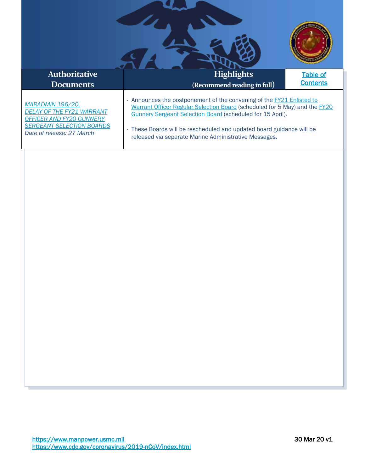| <b>Authoritative</b>                                                                                                                                            | <b>Highlights</b>                                                                                                                                                                                                                                                                                                                                          | <b>Table of</b> |
|-----------------------------------------------------------------------------------------------------------------------------------------------------------------|------------------------------------------------------------------------------------------------------------------------------------------------------------------------------------------------------------------------------------------------------------------------------------------------------------------------------------------------------------|-----------------|
| <b>Documents</b>                                                                                                                                                | (Recommend reading in full)                                                                                                                                                                                                                                                                                                                                | <b>Contents</b> |
| <b>MARADMIN 196/20,</b><br><b>DELAY OF THE FY21 WARRANT</b><br><b>OFFICER AND FY20 GUNNERY</b><br><b>SERGEANT SELECTION BOARDS</b><br>Date of release: 27 March | - Announces the postponement of the convening of the <b>FY21 Enlisted to</b><br>Warrant Officer Regular Selection Board (scheduled for 5 May) and the FY20<br>Gunnery Sergeant Selection Board (scheduled for 15 April).<br>- These Boards will be rescheduled and updated board guidance will be<br>released via separate Marine Administrative Messages. |                 |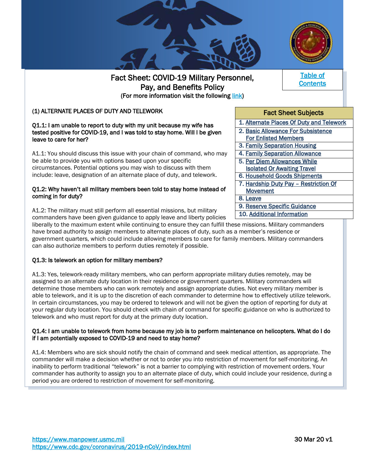

### <span id="page-5-1"></span><span id="page-5-0"></span>(1) ALTERNATE PLACES OF DUTY AND TELEWORK

#### Q1.1: I am unable to report to duty with my unit because my wife has tested positive for COVID-19, and I was told to stay home. Will I be given leave to care for her?

A1.1: You should discuss this issue with your chain of command, who may be able to provide you with options based upon your specific circumstances. Potential options you may wish to discuss with them include: leave, designation of an alternate place of duty, and telework.

#### Q1.2: Why haven't all military members been told to stay home instead of coming in for duty?

A1.2: The military must still perform all essential missions, but military commanders have been given [guidance t](https://media.defense.gov/2020/Mar/26/2002270634/-1/-1/1/Military-Personnel-Guidance-for-Department-of-Defense-Components-in-Responding-to-Coronavirus-Disease-2019.pdf)o apply leave and liberty policies

liberally to the maximum extent while continuing to ensure they can fulfill these missions. Military commanders have broad authority to assign members to alternate places of duty, such as a member's residence or government quarters, which could include allowing members to care for family members. Military commanders can also authorize members to perform duties remotely if possible.

#### Q1.3: Is telework an option for military members?

İ

A1.3: Yes, telework-ready military members, who can perform appropriate military duties remotely, may be assigned to an alternate duty location in their residence or government quarters. Military commanders will determine those members who can work remotely and assign appropriate duties. Not every military member is able to telework, and it is up to the discretion of each commander to determine how to effectively utilize telework. In certain circumstances, you may be ordered to telework and will not be given the option of reporting for duty at your regular duty location. You should check with chain of command for specific guidance on who is authorized to telework and who must report for duty at the primary duty location.

#### Q1.4: I am unable to telework from home because my job is to perform maintenance on helicopters. What do I do if I am potentially exposed to COVID-19 and need to stay home?

A1.4: Members who are sick should notify the chain of command and seek medical attention, as appropriate. The commander will make a decision whether or not to order you into restriction of movement for self-monitoring. An inability to perform traditional "telework" is not a barrier to complying with restriction of movement orders. Your commander has authority to assign you to an alternate place of duty, which could include your residence, during a period you are ordered to restriction of movement for self-monitoring.

[Table of](#page-0-0)  **Contents** 



10. [Additional Information](#page-11-1)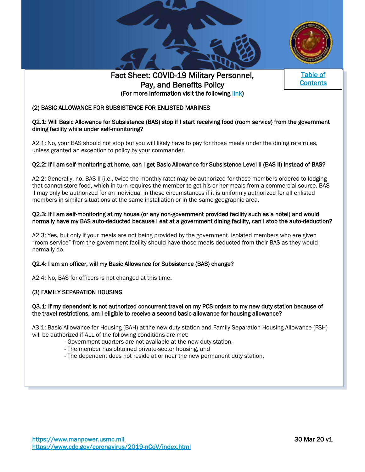





[ss](#page-0-0) 

### <span id="page-6-0"></span>(2) BASIC ALLOWANCE FOR SUBSISTENCE FOR ENLISTED MARINES

#### Q2.1: Will Basic Allowance for Subsistence (BAS) stop if I start receiving food (room service) from the government dining facility while under self-monitoring?

A2.1: No, your BAS should not stop but you will likely have to pay for those meals under the dining rate rules, unless granted an exception to policy by your commander.

#### Q2.2: If I am self-monitoring at home, can I get Basic Allowance for Subsistence Level II (BAS II) instead of BAS?

A2.2: Generally, no. BAS II (i.e., twice the monthly rate) may be authorized for those members ordered to lodging that cannot store food, which in turn requires the member to get his or her meals from a commercial source. BAS II may only be authorized for an individual in these circumstances if it is uniformly authorized for all enlisted members in similar situations at the same installation or in the same geographic area.

#### Q2.3: If I am self-monitoring at my house (or any non-government provided facility such as a hotel) and would normally have my BAS auto-deducted because I eat at a government dining facility, can I stop the auto-deduction?

A2.3: Yes, but only if your meals are not being provided by the government. Isolated members who are given "room service" from the government facility should have those meals deducted from their BAS as they would normally do.

#### Q2.4: I am an officer, will my Basic Allowance for Subsistence (BAS) change?

A2.4: No, BAS for officers is not changed at this time.

#### <span id="page-6-1"></span>(3) FAMILY SEPARATION HOUSING

L I

#### Q3.1: If my dependent is not authorized concurrent travel on my PCS orders to my new duty station because of the travel restrictions, am I eligible to receive a second basic allowance for housing allowance?

A3.1: Basic Allowance for Housing (BAH) at the new duty station and Family Separation Housing Allowance (FSH) will be authorized if ALL of the following conditions are met:

- Government quarters are not available at the new duty station,
- The member has obtained private-sector housing, and
- The dependent does not reside at or near the new permanent duty station.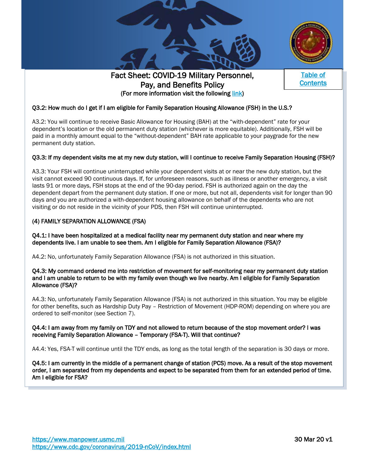





[ss](#page-0-0) 

### Q3.2: How much do I get if I am eligible for Family Separation Housing Allowance (FSH) in the U.S.?

A3.2: You will continue to receive Basic Allowance for Housing (BAH) at the "with-dependent" rate for your dependent's location or the old permanent duty station (whichever is more equitable). Additionally, FSH will be paid in a monthly amount equal to the "without-dependent" BAH rate applicable to your paygrade for the new permanent duty station.

#### Q3.3: If my dependent visits me at my new duty station, will I continue to receive Family Separation Housing (FSH)?

A3.3: Your FSH will continue uninterrupted while your dependent visits at or near the new duty station, but the visit cannot exceed 90 continuous days. If, for unforeseen reasons, such as illness or another emergency, a visit lasts 91 or more days, FSH stops at the end of the 90-day period. FSH is authorized again on the day the dependent depart from the permanent duty station. If one or more, but not all, dependents visit for longer than 90 days and you are authorized a with-dependent housing allowance on behalf of the dependents who are not visiting or do not reside in the vicinity of your PDS, then FSH will continue uninterrupted.

#### <span id="page-7-0"></span>(4) FAMILY SEPARATION ALLOWANCE (FSA)

Q4.1: I have been hospitalized at a medical facility near my permanent duty station and near where my dependents live. I am unable to see them. Am I eligible for Family Separation Allowance (FSA)?

A4.2: No, unfortunately Family Separation Allowance (FSA) is not authorized in this situation.

#### Q4.3: My command ordered me into restriction of movement for self-monitoring near my permanent duty station and I am unable to return to be with my family even though we live nearby. Am I eligible for Family Separation Allowance (FSA)?

A4.3: No, unfortunately Family Separation Allowance (FSA) is not authorized in this situation. You may be eligible for other benefits, such as Hardship Duty Pay – Restriction of Movement (HDP-ROM) depending on where you are ordered to self-monitor (see Section 7).

#### Q4.4: I am away from my family on TDY and not allowed to return because of the stop movement order? I was receiving Family Separation Allowance – Temporary (FSA-T). Will that continue?

A4.4: Yes, FSA-T will continue until the TDY ends, as long as the total length of the separation is 30 days or more.

Q4.5: I am currently in the middle of a permanent change of station (PCS) move. As a result of the stop movement order, I am separated from my dependents and expect to be separated from them for an extended period of time. Am I eligible for FSA?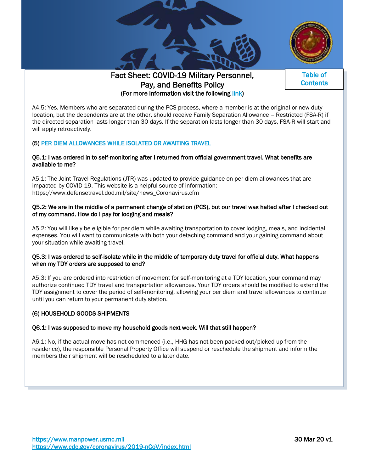





[ss](#page-0-0) 

A4.5: Yes. Members who are separated during the PCS process, where a member is at the original or new duty location, but the dependents are at the other, should receive Family Separation Allowance – Restricted (FSA-R) if the directed separation lasts longer than 30 days. If the separation lasts longer than 30 days, FSA-R will start and will apply retroactively.

# <span id="page-8-0"></span>(5) [PER DIEM ALLOWANCES WHILE ISOLATED OR AWAITING TRAVEL](#page-8-0)

#### Q5.1: I was ordered in to self-monitoring after I returned from official government travel. What benefits are available to me?

A5.1: The Joint Travel Regulations (JTR) was updated to provide guidance on per diem allowances that are impacted by COVID-19. This website is a helpful source of information: [https://www.defensetravel.dod.mil/site/news\\_Coronavirus.cfm](https://www.defensetravel.dod.mil/site/news_Coronavirus.cfm)

#### Q5.2: We are in the middle of a permanent change of station (PCS), but our travel was halted after I checked out of my command. How do I pay for lodging and meals?

A5.2: You will likely be eligible for per diem while awaiting transportation to cover lodging, meals, and incidental expenses. You will want to communicate with both your detaching command and your gaining command about your situation while awaiting travel.

#### Q5.3: I was ordered to self-isolate while in the middle of temporary duty travel for official duty. What happens when my TDY orders are supposed to end?

A5.3: If you are ordered into restriction of movement for self-monitoring at a TDY location, your command may authorize continued TDY travel and transportation allowances. Your TDY orders should be modified to extend the TDY assignment to cover the period of self-monitoring, allowing your per diem and travel allowances to continue until you can return to your permanent duty station.

#### <span id="page-8-1"></span>(6) HOUSEHOLD GOODS SHIPMENTS

#### Q6.1: I was supposed to move my household goods next week. Will that still happen?

A6.1: No, if the actual move has not commenced (i.e., HHG has not been packed-out/picked up from the residence), the responsible Personal Property Office will suspend or reschedule the shipment and inform the members their shipment will be rescheduled to a later date.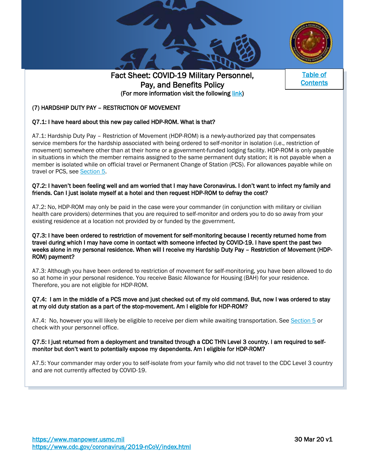





[ss](#page-0-0) 

# <span id="page-9-0"></span>(7) HARDSHIP DUTY PAY – RESTRICTION OF MOVEMENT

#### Q7.1: I have heard about this new pay called HDP-ROM. What is that?

A7.1: Hardship Duty Pay – Restriction of Movement (HDP-ROM) is a newly-authorized pay that compensates service members for the hardship associated with being ordered to self-monitor in isolation (i.e., restriction of movement) somewhere other than at their home or a government-funded lodging facility. HDP-ROM is only payable in situations in which the member remains assigned to the same permanent duty station; it is not payable when a member is isolated while on official travel or Permanent Change of Station (PCS). For allowances payable while on travel or PCS, see [Section 5.](#page-8-0)

#### Q7.2: I haven't been feeling well and am worried that I may have Coronavirus. I don't want to infect my family and friends. Can I just isolate myself at a hotel and then request HDP-ROM to defray the cost?

A7.2: No, HDP-ROM may only be paid in the case were your commander (in conjunction with military or civilian health care providers) determines that you are required to self-monitor and orders you to do so away from your existing residence at a location not provided by or funded by the government.

#### Q7.3: I have been ordered to restriction of movement for self-monitoring because I recently returned home from travel during which I may have come in contact with someone infected by COVID-19. I have spent the past two weeks alone in my personal residence. When will I receive my Hardship Duty Pay – Restriction of Movement (HDP-ROM) payment?

A7.3: Although you have been ordered to restriction of movement for self-monitoring, you have been allowed to do so at home in your personal residence. You receive Basic Allowance for Housing (BAH) for your residence. Therefore, you are not eligible for HDP-ROM.

#### Q7.4: I am in the middle of a PCS move and just checked out of my old command. But, now I was ordered to stay at my old duty station as a part of the stop-movement. Am I eligible for HDP-ROM?

A7.4: No, however you will likely be eligible to receive per diem while awaiting transportation. See [Section 5](#page-8-0) or check with your personnel office.

#### Q7.5: I just returned from a deployment and transited through a CDC THN Level 3 country. I am required to selfmonitor but don't want to potentially expose my dependents. Am I eligible for HDP-ROM?

A7.5: Your commander may order you to self-isolate from your family who did not travel to the CDC Level 3 country and are not currently affected by COVID-19.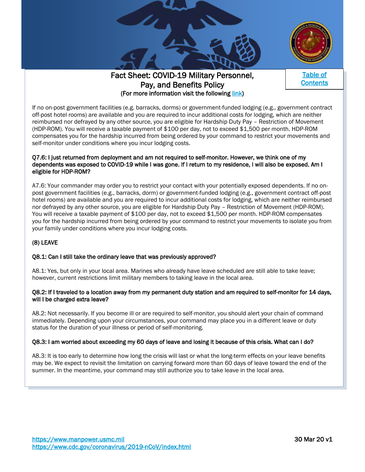





[ss](#page-0-0) 

If no on-post government facilities (e.g. barracks, dorms) or government-funded lodging (e.g., government contract off-post hotel rooms) are available and you are required to incur additional costs for lodging, which are neither reimbursed nor defrayed by any other source, you are eligible for Hardship Duty Pay – Restriction of Movement (HDP-ROM). You will receive a taxable payment of \$100 per day, not to exceed \$1,500 per month. HDP-ROM compensates you for the hardship incurred from being ordered by your command to restrict your movements and self-monitor under conditions where you incur lodging costs.

#### Q7.6: I just returned from deployment and am not required to self-monitor. However, we think one of my dependents was exposed to COVID-19 while I was gone. If I return to my residence, I will also be exposed. Am I eligible for HDP-ROM?

A7.6: Your commander may order you to restrict your contact with your potentially exposed dependents. If no onpost government facilities (e.g., barracks, dorm) or government-funded lodging (e.g., government contract off-post hotel rooms) are available and you are required to incur additional costs for lodging, which are neither reimbursed nor defrayed by any other source, you are eligible for Hardship Duty Pay – Restriction of Movement (HDP-ROM). You will receive a taxable payment of \$100 per day, not to exceed \$1,500 per month. HDP-ROM compensates you for the hardship incurred from being ordered by your command to restrict your movements to isolate you from your family under conditions where you incur lodging costs.

# <span id="page-10-0"></span>(8) LEAVE

#### Q8.1: Can I still take the ordinary leave that was previously approved?

A8.1: Yes, but only in your local area. Marines who already have leave scheduled are still able to take leave; however, current restrictions limit military members to taking leave in the local area.

#### Q8.2: If I traveled to a location away from my permanent duty station and am required to self-monitor for 14 days, will I be charged extra leave?

A8.2: Not necessarily. If you become ill or are required to self-monitor, you should alert your chain of command immediately. Depending upon your circumstances, your command may place you in a different leave or duty status for the duration of your illness or period of self-monitoring.

# Q8.3: I am worried about exceeding my 60 days of leave and losing it because of this crisis. What can I do?

A8.3: It is too early to determine how long the crisis will last or what the long-term effects on your leave benefits may be. We expect to revisit the limitation on carrying forward more than 60 days of leave toward the end of the summer. In the meantime, your command may still authorize you to take leave in the local area.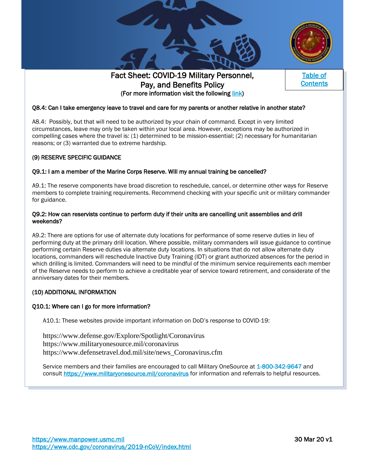





[ss](#page-0-0) 

### Q8.4: Can I take emergency leave to travel and care for my parents or another relative in another state?

A8.4: Possibly, but that will need to be authorized by your chain of command. Except in very limited circumstances, leave may only be taken within your local area. However, exceptions may be authorized in compelling cases where the travel is: (1) determined to be mission-essential; (2) necessary for humanitarian reasons; or (3) warranted due to extreme hardship.

#### <span id="page-11-0"></span>(9) RESERVE SPECIFIC GUIDANCE

#### Q9.1: I am a member of the Marine Corps Reserve. Will my annual training be cancelled?

A9.1: The reserve components have broad discretion to reschedule, cancel, or determine other ways for Reserve members to complete training requirements. Recommend checking with your specific unit or military commander for guidance.

#### Q9.2: How can reservists continue to perform duty if their units are cancelling unit assemblies and drill weekends?

A9.2: There are options for use of alternate duty locations for performance of some reserve duties in lieu of performing duty at the primary drill location. Where possible, military commanders will issue guidance to continue performing certain Reserve duties via alternate duty locations. In situations that do not allow alternate duty locations, commanders will reschedule Inactive Duty Training (IDT) or grant authorized absences for the period in which drilling is limited. Commanders will need to be mindful of the minimum service requirements each member of the Reserve needs to perform to achieve a creditable year of service toward retirement, and considerate of the anniversary dates for their members.

#### <span id="page-11-1"></span>(10) ADDITIONAL INFORMATION

#### Q10.1: Where can I go for more information?

A10.1: These websites provide important information on DoD's response to COVID-19:

[https://www.defense.gov/Explore/Spotlight/Coronavirus](https://www.defense.gov/Explore/Spotlight/Coronavirus/) <https://www.militaryonesource.mil/coronavirus> [https://www.defensetravel.dod.mil/site/news\\_Coronavirus.cfm](https://www.defensetravel.dod.mil/site/news_Coronavirus.cfm)

Service members and their families are encouraged to call Military OneSource at 1-800-342-9647 and consult<https://www.militaryonesource.mil/coronavirus> for information and referrals to helpful resources.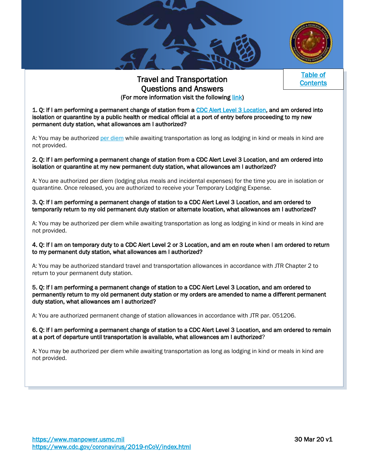



[Table of](#page-0-0)  **Contents** 

# Travel and Transportation Questions and Answers (For more information visit the following [link\)](https://www.dcpas.osd.mil/Content/documents/OD/ref%20d%20-%20DTMO%20COVID-19%20Travel%20QAs%20-%20Civilian%20and%20Military.pdf)

<span id="page-12-0"></span>1. Q: If I am performing a permanent change of station from a [CDC Alert Level 3 Location,](https://www.cdc.gov/coronavirus/2019-ncov/travelers/map-and-travel-notices.html) and am ordered into isolation or quarantine by a public health or medical official at a port of entry before proceeding to my new permanent duty station, what allowances am I authorized?

A: You may be authorized [per diem](https://www.defensetravel.dod.mil/site/perdiem.cfm) while awaiting transportation as long as lodging in kind or meals in kind are not provided.

2. Q: If I am performing a permanent change of station from a CDC Alert Level 3 Location, and am ordered into isolation or quarantine at my new permanent duty station, what allowances am I authorized?

A: You are authorized per diem (lodging plus meals and incidental expenses) for the time you are in isolation or quarantine. Once released, you are authorized to receive your Temporary Lodging Expense.

3. Q: If I am performing a permanent change of station to a CDC Alert Level 3 Location, and am ordered to temporarily return to my old permanent duty station or alternate location, what allowances am I authorized?

A: You may be authorized per diem while awaiting transportation as long as lodging in kind or meals in kind are not provided.

4. Q: If I am on temporary duty to a CDC Alert Level 2 or 3 Location, and am en route when I am ordered to return to my permanent duty station, what allowances am I authorized?

A: You may be authorized standard travel and transportation allowances in accordance with JTR Chapter 2 to return to your permanent duty station.

5. Q: If I am performing a permanent change of station to a CDC Alert Level 3 Location, and am ordered to permanently return to my old permanent duty station or my orders are amended to name a different permanent duty station, what allowances am I authorized?

A: You are authorized permanent change of station allowances in accordance with JTR par. 051206.

#### 6. Q: If I am performing a permanent change of station to a CDC Alert Level 3 Location, and am ordered to remain at a port of departure until transportation is available, what allowances am I authorized?

A: You may be authorized per diem while awaiting transportation as long as lodging in kind or meals in kind are not provided.

l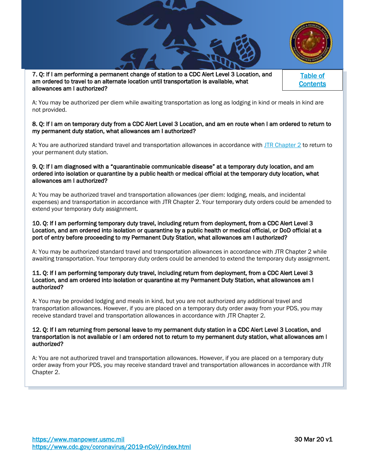

7. Q: If I am performing a permanent change of station to a CDC Alert Level 3 Location, and am ordered to travel to an alternate location until transportation is available, what allowances am I authorized?

l

[Table of](#page-0-0)  **Contents** 

A: You may be authorized per diem while awaiting transportation as long as lodging in kind or meals in kind are not provided.

#### 8. Q: If I am on temporary duty from a CDC Alert Level 3 Location, and am en route when I am ordered to return to my permanent duty station, what allowances am I authorized?

A: You are authorized standard travel and transportation allowances in accordance with [JTR Chapter 2](https://www.defensetravel.dod.mil/site/travelreg.cfm) to return to your permanent duty station.

#### 9. Q: If I am diagnosed with a "quarantinable communicable disease" at a temporary duty location, and am ordered into isolation or quarantine by a public health or medical official at the temporary duty location, what allowances am I authorized?

A: You may be authorized travel and transportation allowances (per diem: lodging, meals, and incidental expenses) and transportation in accordance with JTR Chapter 2. Your temporary duty orders could be amended to extend your temporary duty assignment.

#### 10. Q: If I am performing temporary duty travel, including return from deployment, from a CDC Alert Level 3 Location, and am ordered into isolation or quarantine by a public health or medical official, or DoD official at a port of entry before proceeding to my Permanent Duty Station, what allowances am I authorized?

A: You may be authorized standard travel and transportation allowances in accordance with JTR Chapter 2 while awaiting transportation. Your temporary duty orders could be amended to extend the temporary duty assignment.

#### 11. Q: If I am performing temporary duty travel, including return from deployment, from a CDC Alert Level 3 Location, and am ordered into isolation or quarantine at my Permanent Duty Station, what allowances am I authorized?

A: You may be provided lodging and meals in kind, but you are not authorized any additional travel and transportation allowances. However, if you are placed on a temporary duty order away from your PDS, you may receive standard travel and transportation allowances in accordance with JTR Chapter 2.

#### 12. Q: If I am returning from personal leave to my permanent duty station in a CDC Alert Level 3 Location, and transportation is not available or I am ordered not to return to my permanent duty station, what allowances am I authorized?

A: You are not authorized travel and transportation allowances. However, if you are placed on a temporary duty order away from your PDS, you may receive standard travel and transportation allowances in accordance with JTR Chapter 2.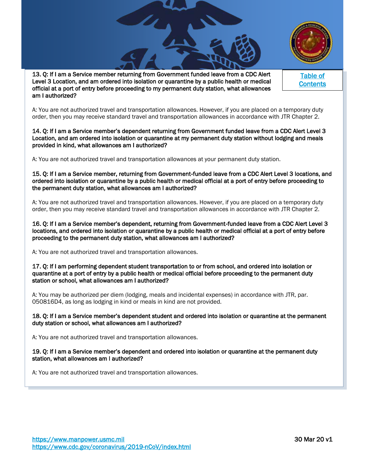

13. Q: If I am a Service member returning from Government funded leave from a CDC Alert Level 3 Location, and am ordered into isolation or quarantine by a public health or medical official at a port of entry before proceeding to my permanent duty station, what allowances am I authorized?

A: You are not authorized travel and transportation allowances. However, if you are placed on a temporary duty order, then you may receive standard travel and transportation allowances in accordance with JTR Chapter 2.

#### 14. Q: If I am a Service member's dependent returning from Government funded leave from a CDC Alert Level 3 Location, and am ordered into isolation or quarantine at my permanent duty station without lodging and meals provided in kind, what allowances am I authorized?

A: You are not authorized travel and transportation allowances at your permanent duty station.

15. Q: If I am a Service member, returning from Government‐funded leave from a CDC Alert Level 3 locations, and ordered into isolation or quarantine by a public health or medical official at a port of entry before proceeding to the permanent duty station, what allowances am I authorized?

A: You are not authorized travel and transportation allowances. However, if you are placed on a temporary duty order, then you may receive standard travel and transportation allowances in accordance with JTR Chapter 2.

16. Q: If I am a Service member's dependent, returning from Government‐funded leave from a CDC Alert Level 3 locations, and ordered into isolation or quarantine by a public health or medical official at a port of entry before proceeding to the permanent duty station, what allowances am I authorized?

A: You are not authorized travel and transportation allowances.

17. Q: If I am performing dependent student transportation to or from school, and ordered into isolation or quarantine at a port of entry by a public health or medical official before proceeding to the permanent duty station or school, what allowances am I authorized?

A: You may be authorized per diem (lodging, meals and incidental expenses) in accordance with JTR, par. 050816D4, as long as lodging in kind or meals in kind are not provided.

#### 18. Q: If I am a Service member's dependent student and ordered into isolation or quarantine at the permanent duty station or school, what allowances am I authorized?

A: You are not authorized travel and transportation allowances.

#### 19. Q: If I am a Service member's dependent and ordered into isolation or quarantine at the permanent duty station, what allowances am I authorized?

A: You are not authorized travel and transportation allowances.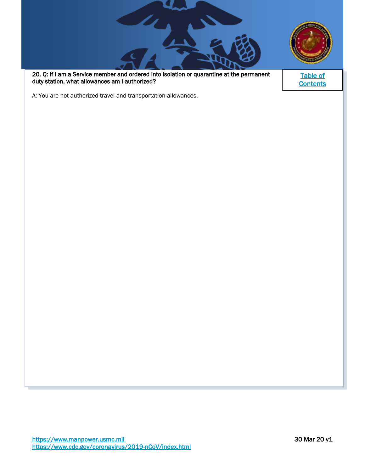20. Q: If I am a Service member and ordered into isolation or quarantine at the permanent duty station, what allowances am I authorized?

Su

[Table of](#page-0-0)  **Contents** 

A: You are not authorized travel and transportation allowances.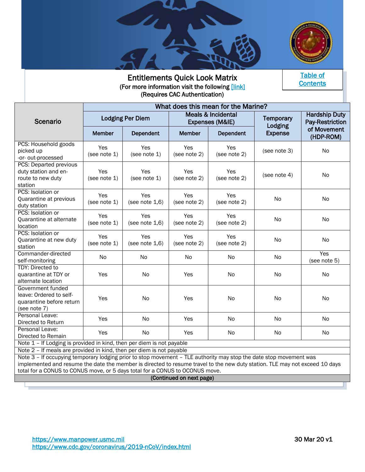



<span id="page-16-0"></span>Entitlements Quick Look Matrix (For more information visit the following [link] (Requires CAC Authentication)

[Table of](#page-0-0)  **Contents** 

|                                                                                          | What does this mean for the Marine? |                          |                                                  |                            |                             |                                         |
|------------------------------------------------------------------------------------------|-------------------------------------|--------------------------|--------------------------------------------------|----------------------------|-----------------------------|-----------------------------------------|
| Scenario                                                                                 | <b>Lodging Per Diem</b>             |                          | <b>Meals &amp; Incidental</b><br>Expenses (M&IE) |                            | <b>Temporary</b><br>Lodging | <b>Hardship Duty</b><br>Pay-Restriction |
|                                                                                          | <b>Member</b>                       | Dependent                | Member                                           | Dependent                  | <b>Expense</b>              | of Movement<br>(HDP-ROM)                |
| PCS: Household goods<br>picked up<br>-or- out-processed                                  | Yes<br>(see note 1)                 | Yes<br>(see note 1)      | Yes<br>(see note 2)                              | Yes<br>(see note 2)        | (see note 3)                | No                                      |
| PCS: Departed previous<br>duty station and en-<br>route to new duty<br>station           | <b>Yes</b><br>(see note $1$ )       | Yes<br>(see note 1)      | Yes<br>(see note 2)                              | <b>Yes</b><br>(see note 2) | (see note 4)                | No                                      |
| PCS: Isolation or<br>Quarantine at previous<br>duty station                              | Yes<br>(see note 1)                 | Yes<br>(see note $1,6$ ) | Yes<br>(see note 2)                              | Yes<br>(see note 2)        | N <sub>o</sub>              | No                                      |
| PCS: Isolation or<br>Quarantine at alternate<br>location                                 | Yes<br>(see note 1)                 | Yes<br>(see note $1,6$ ) | Yes<br>(see note 2)                              | Yes<br>(see note 2)        | No                          | No                                      |
| PCS: Isolation or<br>Quarantine at new duty<br>station                                   | Yes<br>(see note $1$ )              | Yes<br>(see note $1,6$ ) | Yes<br>(see note 2)                              | Yes<br>(see note 2)        | No                          | No                                      |
| Commander-directed<br>self-monitoring                                                    | No                                  | No                       | No                                               | No                         | N <sub>o</sub>              | Yes<br>(see note 5)                     |
| <b>TDY: Directed to</b><br>quarantine at TDY or<br>alternate location                    | Yes                                 | N <sub>o</sub>           | Yes                                              | No                         | No                          | No                                      |
| Government funded<br>leave: Ordered to self-<br>quarantine before return<br>(see note 7) | Yes                                 | No                       | Yes                                              | N <sub>o</sub>             | N <sub>o</sub>              | No                                      |
| Personal Leave:<br>Directed to Return                                                    | Yes                                 | No                       | Yes                                              | N <sub>o</sub>             | N <sub>o</sub>              | No                                      |
| Personal Leave:<br>Directed to Remain                                                    | Yes                                 | <b>No</b>                | Yes                                              | N <sub>o</sub>             | N <sub>0</sub>              | No                                      |
| Note 1 - If Lodging is provided in kind, then per diem is not payable                    |                                     |                          |                                                  |                            |                             |                                         |

Note 2 – If meals are provided in kind, then per diem is not payable

Note 3 – If occupying temporary lodging prior to stop movement – TLE authority may stop the date stop movement was implemented and resume the date the member is directed to resume travel to the new duty station. TLE may not exceed 10 days total for a CONUS to CONUS move, or 5 days total for a CONUS to OCONUS move.

### (Continued on next page)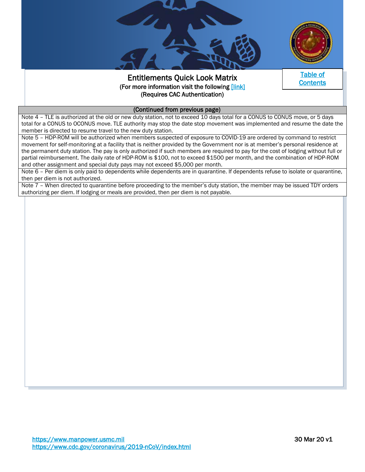

# Entitlements Quick Look Matrix (For more information visit the following [[link\]](https://mypers.af.mil/app/answers/detail/a_id/46605/kw/ENTITLEMENTS%20COVID/p/9/p/9)  (Requires CAC Authentication)



#### (Continued from previous page)

Note 4 - TLE is authorized at the old or new duty station, not to exceed 10 days total for a CONUS to CONUS move, or 5 days total for a CONUS to OCONUS move. TLE authority may stop the date stop movement was implemented and resume the date the member is directed to resume travel to the new duty station.

Note 5 - HDP-ROM will be authorized when members suspected of exposure to COVID-19 are ordered by command to restrict movement for self-monitoring at a facility that is neither provided by the Government nor is at member's personal residence at the permanent duty station. The pay is only authorized if such members are required to pay for the cost of lodging without full or partial reimbursement. The daily rate of HDP-ROM is \$100, not to exceed \$1500 per month, and the combination of HDP-ROM and other assignment and special duty pays may not exceed \$5,000 per month.

Note 6 – Per diem is only paid to dependents while dependents are in quarantine. If dependents refuse to isolate or quarantine, then per diem is not authorized.

Note 7 – When directed to quarantine before proceeding to the member's duty station, the member may be issued TDY orders authorizing per diem. If lodging or meals are provided, then per diem is not payable.

I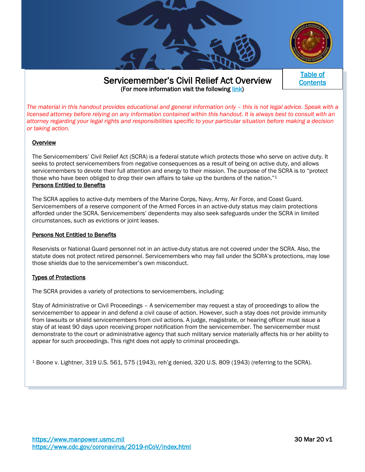

# <span id="page-18-0"></span> Servicemember's Civil Relief Act Overview (For more information visit the following [link\)](https://www.29palms.marines.mil/Portals/56/Docs/SJA/SCRA%20Highlights.pdf)



*The material in this handout provides educational and general information only – this is not legal advice. Speak with a licensed attorney before relying on any information contained within this handout. It is always best to consult with an attorney regarding your legal rights and responsibilities specific to your particular situation before making a decision or taking action.* 

#### **Overview**

The Servicemembers' Civil Relief Act (SCRA) is a federal statute which protects those who serve on active duty. It seeks to protect servicemembers from negative consequences as a result of being on active duty, and allows servicemembers to devote their full attention and energy to their mission. The purpose of the SCRA is to "protect those who have been obliged to drop their own affairs to take up the burdens of the nation."<sup>1</sup> Persons Entitled to Benefits

The SCRA applies to active-duty members of the Marine Corps, Navy, Army, Air Force, and Coast Guard. Servicemembers of a reserve component of the Armed Forces in an active-duty status may claim protections afforded under the SCRA. Servicemembers' dependents may also seek safeguards under the SCRA in limited circumstances, such as evictions or joint leases.

#### Persons Not Entitled to Benefits

Reservists or National Guard personnel not in an active-duty status are not covered under the SCRA. Also, the statute does not protect retired personnel. Servicemembers who may fall under the SCRA's protections, may lose those shields due to the servicemember's own misconduct.

#### Types of Protections

The SCRA provides a variety of protections to servicemembers, including:

Stay of Administrative or Civil Proceedings – A servicemember may request a stay of proceedings to allow the servicemember to appear in and defend a civil cause of action. However, such a stay does not provide immunity from lawsuits or shield servicemembers from civil actions. A judge, magistrate, or hearing officer must issue a stay of at least 90 days upon receiving proper notification from the servicemember. The servicemember must demonstrate to the court or administrative agency that such military service materially affects his or her ability to appear for such proceedings. This right does not apply to criminal proceedings.

<sup>1</sup> Boone v. Lightner, 319 U.S. 561, 575 (1943), reh'g denied, 320 U.S. 809 (1943) (referring to the SCRA).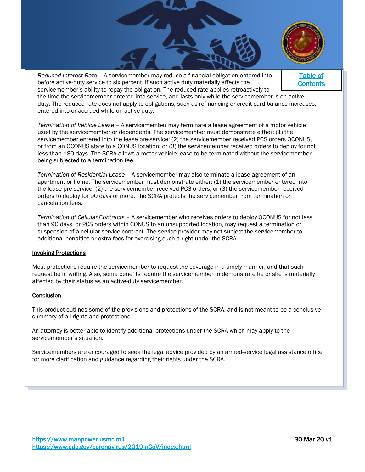

*Reduced Interest Rate* – A servicemember may reduce a financial obligation entered into before active-duty service to six percent, if such active duty materially affects the servicemember's ability to repay the obligation. The reduced rate applies retroactively to the time the servicemember entered into service, and lasts only while the servicemember is on active duty. The reduced rate does not apply to obligations, such as refinancing or credit card balance increases, entered into or accrued while on active duty. [Table of](#page-0-0)  **Contents** 

*Termination of Vehicle Lease* – A servicemember may terminate a lease agreement of a motor vehicle used by the servicemember or dependents. The servicemember must demonstrate either: (1) the servicemember entered into the lease pre-service; (2) the servicemember received PCS orders OCONUS, or from an OCONUS state to a CONUS location; or (3) the servicemember received orders to deploy for not less than 180 days. The SCRA allows a motor-vehicle lease to be terminated without the servicemember being subjected to a termination fee.

*Termination of Residential Lease* – A servicemember may also terminate a lease agreement of an apartment or home. The servicemember must demonstrate either: (1) the servicemember entered into the lease pre-service; (2) the servicemember received PCS orders, or (3) the servicemember received orders to deploy for 90 days or more. The SCRA protects the servicemember from termination or cancelation fees.

*Termination of Cellular Contracts* – A servicemember who receives orders to deploy OCONUS for not less than 90 days, or PCS orders within CONUS to an unsupported location, may request a termination or suspension of a cellular service contract. The service provider may not subject the servicemember to additional penalties or extra fees for exercising such a right under the SCRA.

#### Invoking Protections

Most protections require the servicemember to request the coverage in a timely manner, and that such request be in writing. Also, some benefits require the servicemember to demonstrate he or she is materially affected by their status as an active-duty servicemember.

#### **Conclusion**

This product outlines some of the provisions and protections of the SCRA, and is not meant to be a conclusive summary of all rights and protections.

An attorney is better able to identify additional protections under the SCRA which may apply to the servicemember's situation.

Servicemembers are encouraged to seek the legal advice provided by an armed-service legal assistance office for more clarification and guidance regarding their rights under the SCRA.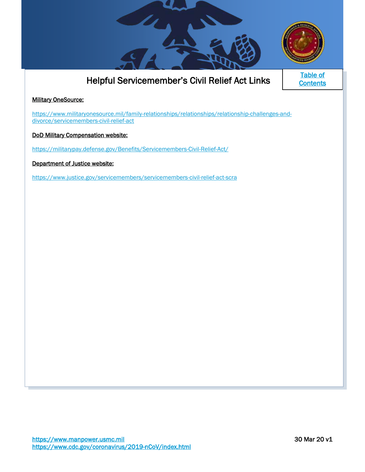

# Helpful Servicemember's Civil Relief Act Links

<span id="page-20-0"></span>[Table of](#page-0-0)  **Contents** 

# **Military OneSource:**

[https://www.militaryonesource.mil/family-relationships/relationships/relationship-challenges-and](https://www.militaryonesource.mil/family-relationships/relationships/relationship-challenges-and-divorce/servicemembers-civil-relief-act)[divorce/servicemembers-civil-relief-act](https://www.militaryonesource.mil/family-relationships/relationships/relationship-challenges-and-divorce/servicemembers-civil-relief-act)

DoD Military Compensation website:

<https://militarypay.defense.gov/Benefits/Servicemembers-Civil-Relief-Act/>

Department of Justice website:

<https://www.justice.gov/servicemembers/servicemembers-civil-relief-act-scra>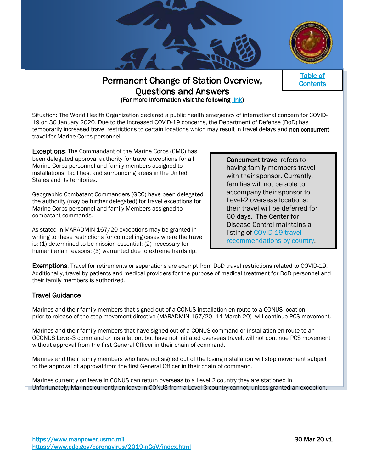

# Permanent Change of Station Overview, Questions and Answers (For more information visit the following [link\)](https://www.dcpas.osd.mil/Content/documents/OD/ref%20d%20-%20DTMO%20COVID-19%20Travel%20QAs%20-%20Civilian%20and%20Military.pdf)

[Table of](#page-0-0)  **Contents** 

<span id="page-21-0"></span>Situation: The World Health Organization declared a public health emergency of international concern for COVID-19 on 30 January 2020. Due to the increased COVID-19 concerns, the Department of Defense (DoD) has temporarily increased travel restrictions to certain locations which may result in travel delays and non-concurrent travel for Marine Corps personnel.

<span id="page-21-1"></span>**Exceptions.** The Commandant of the Marine Corps (CMC) has been delegated approval authority for travel exceptions for all Marine Corps personnel and family members assigned to installations, facilities, and surrounding areas in the United States and its territories.

Geographic Combatant Commanders (GCC) have been delegated the authority (may be further delegated) for travel exceptions for Marine Corps personnel and family Members assigned to combatant commands.

As stated in MARADMIN 167/20 exceptions may be granted in writing to these restrictions for compelling cases where the travel is: (1) determined to be mission essential; (2) necessary for humanitarian reasons; (3) warranted due to extreme hardship.

Concurrent travel refers to having family members travel with their sponsor. Currently, families will not be able to accompany their sponsor to Level-2 overseas locations; their travel will be deferred for 60 days. The Center for Disease Control maintains a listing of [COVID-19 travel](https://www.cdc.gov/coronavirus/2019-ncov/travelers/map-and-travel-notices.html)  [recommendations by country.](https://www.cdc.gov/coronavirus/2019-ncov/travelers/map-and-travel-notices.html)

Exemptions. Travel for retirements or separations are exempt from DoD travel restrictions related to COVID-19. Additionally, travel by patients and medical providers for the purpose of medical treatment for DoD personnel and their family members is authorized.

# Travel Guidance

Marines and their family members that signed out of a CONUS installation en route to a CONUS location prior to release of the stop movement directive (MARADMIN 167/20, 14 March 20) will continue PCS movement.

Marines and their family members that have signed out of a CONUS command or installation en route to an OCONUS Level-3 command or installation, but have not initiated overseas travel, will not continue PCS movement without approval from the first General Officer in their chain of command.

Marines and their family members who have not signed out of the losing installation will stop movement subject to the approval of approval from the first General Officer in their chain of command.

Marines currently on leave in CONUS can return overseas to a Level 2 country they are stationed in. Unfortunately, Marines currently on leave in CONUS from a Level 3 country cannot, unless granted an exception.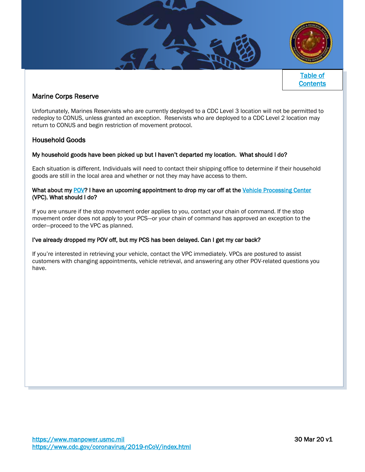

### Marine Corps Reserve

Unfortunately, Marines Reservists who are currently deployed to a CDC Level 3 location will not be permitted to redeploy to CONUS, unless granted an exception. Reservists who are deployed to a CDC Level 2 location may return to CONUS and begin restriction of movement protocol.

### Household Goods

#### My household goods have been picked up but I haven't departed my location. What should I do?

Each situation is different. Individuals will need to contact their shipping office to determine if their household goods are still in the local area and whether or not they may have access to them.

#### What about my [POV?](https://pcsmypov.com/) I have an upcoming appointment to drop my car off at the Vehicle Processing Center (VPC). What should I do?

If you are unsure if the stop movement order applies to you, contact your chain of command. If the stop movement order does not apply to your PCS—or your chain of command has approved an exception to the order—proceed to the VPC as planned.

#### I've already dropped my POV off, but my PCS has been delayed. Can I get my car back?

If you're interested in retrieving your vehicle, contact the VPC immediately. VPCs are postured to assist customers with changing appointments, vehicle retrieval, and answering any other POV-related questions you have.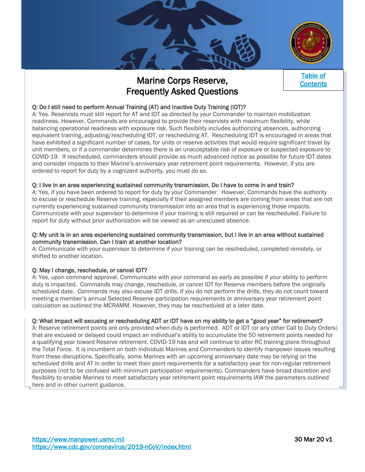



# <span id="page-23-1"></span><span id="page-23-0"></span>Marine Corps Reserve, Frequently Asked Questions



# Q: Do I still need to perform Annual Training (AT) and Inactive Duty Training (IDT)?

A: Yes. Reservists must still report for AT and IDT as directed by your Commander to maintain mobilization readiness. However, Commands are encouraged to provide their reservists with maximum flexibility, while balancing operational readiness with exposure risk. Such flexibility includes authorizing absences, authorizing equivalent training, adjusting/rescheduling IDT, or rescheduling AT. Rescheduling IDT is encouraged in areas that have exhibited a significant number of cases, for units or reserve activities that would require significant travel by unit members, or if a commander determines there is an unacceptable risk of exposure or suspected exposure to COVID-19. If rescheduled, commanders should provide as much advanced notice as possible for future IDT dates and consider impacts to their Marine's anniversary year retirement point requirements. However, if you are ordered to report for duty by a cognizant authority, you must do so.

#### Q: I live in an area experiencing sustained community transmission. Do I have to come in and train?

A: Yes, if you have been ordered to report for duty by your Commander. However, Commands have the authority to excuse or reschedule Reserve training, especially if their assigned members are coming from areas that are not currently experiencing sustained community transmission into an area that is experiencing those impacts. Communicate with your supervisor to determine if your training is still required or can be rescheduled. Failure to report for duty without prior authorization will be viewed as an unexcused absence.

#### Q: My unit is in an area experiencing sustained community transmission, but I live in an area without sustained community transmission. Can I train at another location?

A: Communicate with your supervisor to determine if your training can be rescheduled, completed remotely, or shifted to another location.

#### Q: May I change, reschedule, or cancel IDT?

A: Yes, upon command approval. Communicate with your command as early as possible if your ability to perform duty is impacted. Commands may change, reschedule, or cancel IDT for Reserve members before the originally scheduled date. Commands may also excuse IDT drills. If you do not perform the drills, they do not count toward meeting a member's annual Selected Reserve participation requirements or anniversary year retirement point calculation as outlined the MCRAMM. However, they may be rescheduled at a later date.

#### Q: What impact will excusing or rescheduling ADT or IDT have on my ability to get a "good year" for retirement?

A: Reserve retirement points are only provided when duty is performed. ADT or IDT (or any other Call to Duty Orders) that are excused or delayed could impact an individual's ability to accumulate the 50 retirement points needed for a qualifying year toward Reserve retirement. COVID-19 has and will continue to alter RC training plans throughout the Total Force. It is incumbent on both individual Marines and Commanders to identify manpower issues resulting from these disruptions. Specifically, some Marines with an upcoming anniversary date may be relying on the scheduled drills and AT in order to meet their point requirements for a satisfactory year for non-regular retirement purposes (not to be confused with minimum participation requirements). Commanders have broad discretion and flexibility to enable Marines to meet satisfactory year retirement point requirements IAW the parameters outlined here and in other current guidance.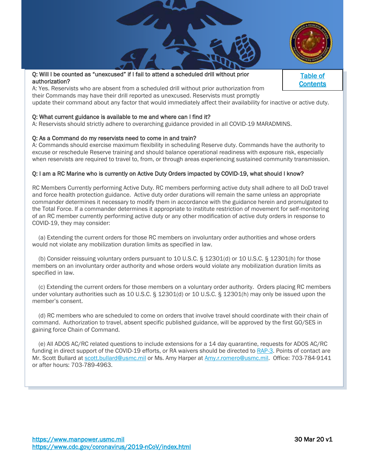

[Table of](#page-0-0)  **Contents** 

#### Q: Will I be counted as "unexcused" if I fail to attend a scheduled drill without prior authorization?

A: Yes. Reservists who are absent from a scheduled drill without prior authorization from their Commands may have their drill reported as unexcused. Reservists must promptly

update their command about any factor that would immediately affect their availability for inactive or active duty.

#### Q: What current guidance is available to me and where can I find it?

A: Reservists should strictly adhere to overarching guidance provided in all COVID-19 MARADMINS.

#### Q: As a Command do my reservists need to come in and train?

A: Commands should exercise maximum flexibility in scheduling Reserve duty. Commands have the authority to excuse or reschedule Reserve training and should balance operational readiness with exposure risk, especially when reservists are required to travel to, from, or through areas experiencing sustained community transmission.

#### Q: I am a RC Marine who is currently on Active Duty Orders impacted by COVID-19, what should I know?

RC Members Currently performing Active Duty. RC members performing active duty shall adhere to all DoD travel and force health protection guidance. Active duty order durations will remain the same unless an appropriate commander determines it necessary to modify them in accordance with the guidance herein and promulgated to the Total Force. If a commander determines it appropriate to institute restriction of movement for self-monitoring of an RC member currently performing active duty or any other modification of active duty orders in response to COVID-19, they may consider:

 (a) Extending the current orders for those RC members on involuntary order authorities and whose orders would not violate any mobilization duration limits as specified in law.

 (b) Consider reissuing voluntary orders pursuant to 10 U.S.C. § 12301(d) or 10 U.S.C. § 12301(h) for those members on an involuntary order authority and whose orders would violate any mobilization duration limits as specified in law.

 (c) Extending the current orders for those members on a voluntary order authority. Orders placing RC members under voluntary authorities such as 10 U.S.C. § 12301(d) or 10 U.S.C. § 12301(h) may only be issued upon the member's consent.

 (d) RC members who are scheduled to come on orders that involve travel should coordinate with their chain of command. Authorization to travel, absent specific published guidance, will be approved by the first GO/SES in gaining force Chain of Command.

 (e) All ADOS AC/RC related questions to include extensions for a 14 day quarantine, requests for ADOS AC/RC funding in direct support of the COVID-19 efforts, or RA waivers should be directed to [RAP-3.](https://www.manpower.usmc.mil/webcenter/portal/RAP3/Personnel%20Programming%20and%20Budgeting%20(RAP-3)) Points of contact are Mr. Scott Bullard at [scott.bullard@usmc.mil](mailto:scott.bullard@usmc.mil) or Ms. Amy Harper at [Amy.r.romero@usmc.mil.](mailto:Amy.r.romero@usmc.mil) Office: 703-784-9141 or after hours: 703-789-4963.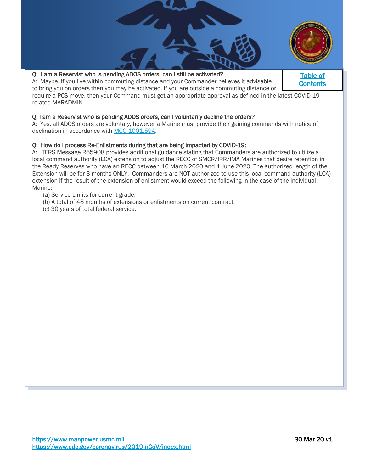

#### Q: I am a Reservist who is pending ADOS orders, can I still be activated?

A: Maybe. If you live within commuting distance and your Commander believes it advisable to bring you on orders then you may be activated. If you are outside a commuting distance or require a PCS move, then your Command must get an appropriate approval as defined in the latest COVID-19 related MARADMIN.

#### Q: I am a Reservist who is pending ADOS orders, can I voluntarily decline the orders?

A: Yes, all ADOS orders are voluntary, however a Marine must provide their gaining commands with notice of declination in accordance with MCO 1001.59A.

#### Q: How do I process Re-Enlistments during that are being impacted by COVID-19:

A: TFRS Message R65908 provides additional guidance stating that Commanders are authorized to utilize a local command authority (LCA) extension to adjust the RECC of SMCR/IRR/IMA Marines that desire retention in the Ready Reserves who have an RECC between 16 March 2020 and 1 June 2020. The authorized length of the Extension will be for 3 months ONLY. Commanders are NOT authorized to use this local command authority (LCA) extension if the result of the extension of enlistment would exceed the following in the case of the individual Marine:

- (a) Service Limits for current grade.
- (b) A total of 48 months of extensions or enlistments on current contract.
- (c) 30 years of total federal service.

[Table of](#page-0-0)  **Contents**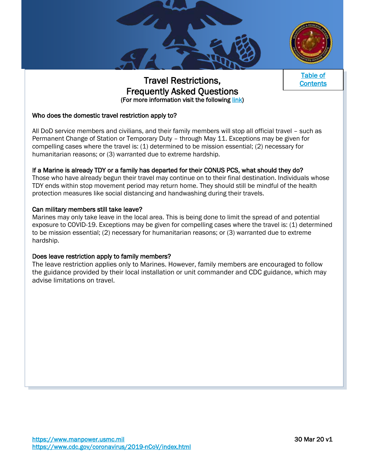



[Table of](#page-0-0)  **Contents** 

# Travel Restrictions, Frequently Asked Questions (For more information visit the following [link\)](https://media.defense.gov/2020/Mar/13/2002264688/-1/-1/1/FAQ_TRAVEL_RESTRICTIONS.PDF)

# Who does the domestic travel restriction apply to?

All DoD service members and civilians, and their family members will stop all official travel – such as Permanent Change of Station or Temporary Duty – through May 11. Exceptions may be given for compelling cases where the travel is: (1) determined to be mission essential; (2) necessary for humanitarian reasons; or (3) warranted due to extreme hardship.

# If a Marine is already TDY or a family has departed for their CONUS PCS, what should they do?

Those who have already begun their travel may continue on to their final destination. Individuals whose TDY ends within stop movement period may return home. They should still be mindful of the health protection measures like social distancing and handwashing during their travels.

### Can military members still take leave?

Marines may only take leave in the local area. This is being done to limit the spread of and potential exposure to COVID-19. Exceptions may be given for compelling cases where the travel is: (1) determined to be mission essential; (2) necessary for humanitarian reasons; or (3) warranted due to extreme hardship.

#### Does leave restriction apply to family members?

The leave restriction applies only to Marines. However, family members are encouraged to follow the guidance provided by their local installation or unit commander and CDC guidance, which may advise limitations on travel.